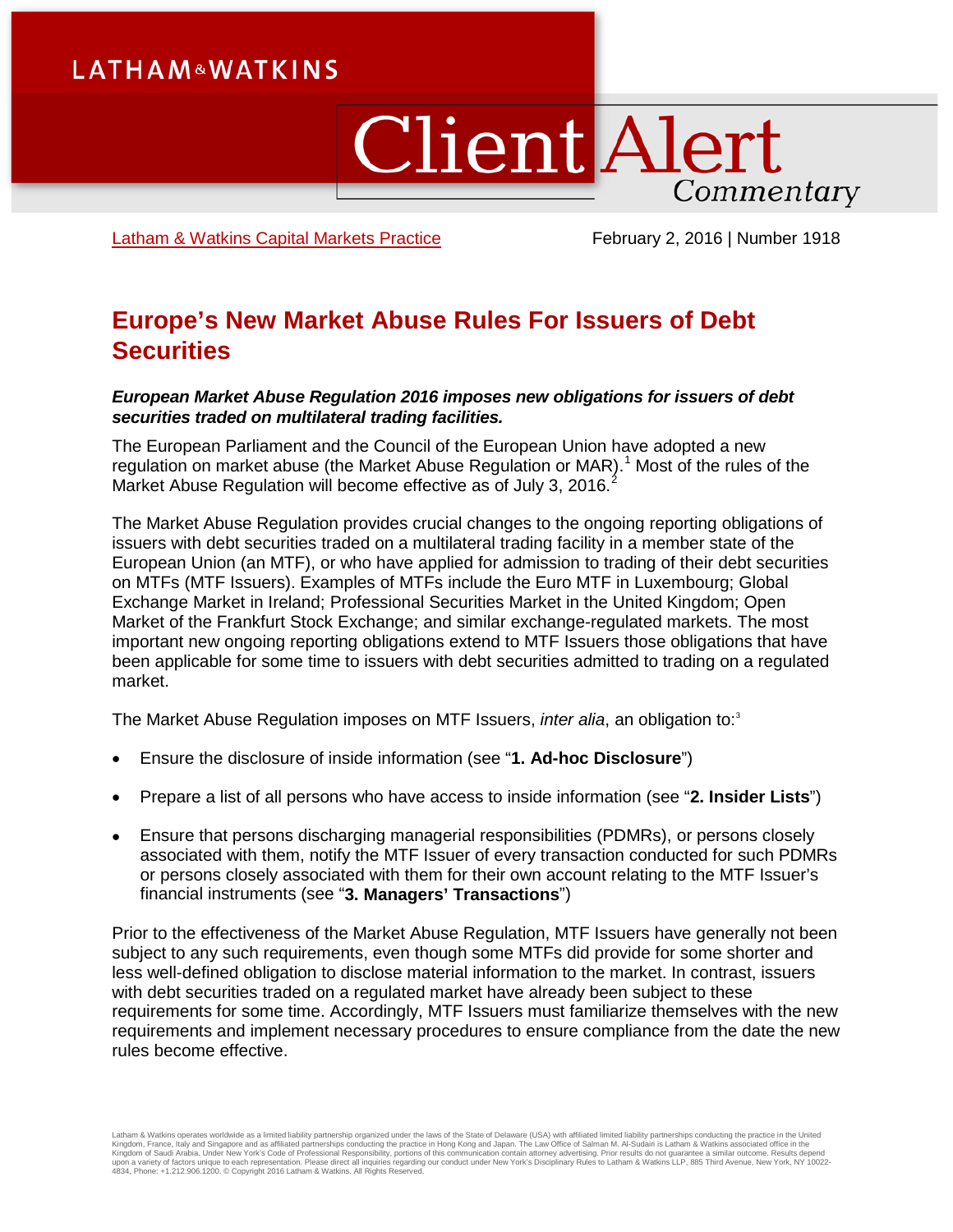# **LATHAM&WATKINS**

# **Client Alert** Commentary

[Latham & Watkins Capital Markets Practice](https://www.lw.com/practices/CapitalMarkets) February 2, 2016 | Number 1918

# **Europe's New Market Abuse Rules For Issuers of Debt Securities**

#### *European Market Abuse Regulation 2016 imposes new obligations for issuers of debt securities traded on multilateral trading facilities.*

The European Parliament and the Council of the European Union have adopted a new regulation on market abuse (the Market Abuse Regulation or MAR).<sup>[1](#page-6-0)</sup> Most of the rules of the Market Abuse Regulation will become effective as of July 3, [2](#page-6-1)016.<sup>2</sup>

The Market Abuse Regulation provides crucial changes to the ongoing reporting obligations of issuers with debt securities traded on a multilateral trading facility in a member state of the European Union (an MTF), or who have applied for admission to trading of their debt securities on MTFs (MTF Issuers). Examples of MTFs include the Euro MTF in Luxembourg; Global Exchange Market in Ireland; Professional Securities Market in the United Kingdom; Open Market of the Frankfurt Stock Exchange; and similar exchange-regulated markets. The most important new ongoing reporting obligations extend to MTF Issuers those obligations that have been applicable for some time to issuers with debt securities admitted to trading on a regulated market.

The Market Abuse Regulation imposes on MTF Issuers, *inter alia*, an obligation to:[3](#page-6-2)

- Ensure the disclosure of inside information (see "**1. Ad-hoc Disclosure**")
- Prepare a list of all persons who have access to inside information (see "**2. Insider Lists**")
- Ensure that persons discharging managerial responsibilities (PDMRs), or persons closely associated with them, notify the MTF Issuer of every transaction conducted for such PDMRs or persons closely associated with them for their own account relating to the MTF Issuer's financial instruments (see "**3. Managers' Transactions**")

Prior to the effectiveness of the Market Abuse Regulation, MTF Issuers have generally not been subject to any such requirements, even though some MTFs did provide for some shorter and less well-defined obligation to disclose material information to the market. In contrast, issuers with debt securities traded on a regulated market have already been subject to these requirements for some time. Accordingly, MTF Issuers must familiarize themselves with the new requirements and implement necessary procedures to ensure compliance from the date the new rules become effective.

Latham & Watkins operates worldwide as a limited liability partnership organized under the laws of the State of Delaware (USA) with affiliated plimited liability partnerships conducting the practice in the United<br>Kingdom o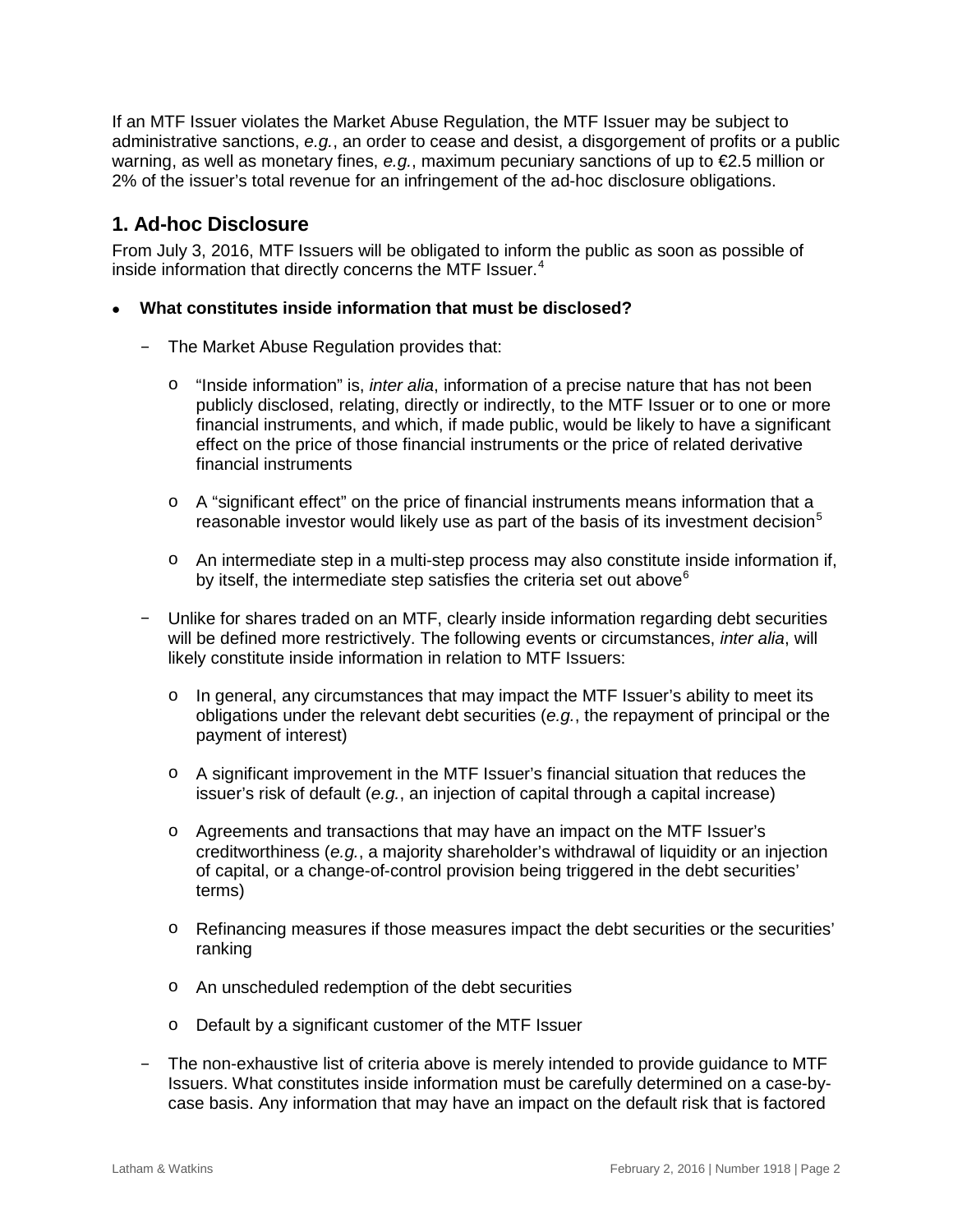If an MTF Issuer violates the Market Abuse Regulation, the MTF Issuer may be subject to administrative sanctions, *e.g.*, an order to cease and desist, a disgorgement of profits or a public warning, as well as monetary fines, *e.g.*, maximum pecuniary sanctions of up to €2.5 million or 2% of the issuer's total revenue for an infringement of the ad-hoc disclosure obligations.

## **1. Ad-hoc Disclosure**

From July 3, 2016, MTF Issuers will be obligated to inform the public as soon as possible of inside information that directly concerns the MTF Issuer.<sup>[4](#page-6-3)</sup>

#### • **What constitutes inside information that must be disclosed?**

- The Market Abuse Regulation provides that:
	- o "Inside information" is, *inter alia*, information of a precise nature that has not been publicly disclosed, relating, directly or indirectly, to the MTF Issuer or to one or more financial instruments, and which, if made public, would be likely to have a significant effect on the price of those financial instruments or the price of related derivative financial instruments
	- o A "significant effect" on the price of financial instruments means information that a reasonable investor would likely use as part of the basis of its investment decision $5$
	- o An intermediate step in a multi-step process may also constitute inside information if, by itself, the intermediate step satisfies the criteria set out above $6$
- Unlike for shares traded on an MTF, clearly inside information regarding debt securities will be defined more restrictively. The following events or circumstances, *inter alia*, will likely constitute inside information in relation to MTF Issuers:
	- $\circ$  In general, any circumstances that may impact the MTF Issuer's ability to meet its obligations under the relevant debt securities (*e.g.*, the repayment of principal or the payment of interest)
	- o A significant improvement in the MTF Issuer's financial situation that reduces the issuer's risk of default (*e.g.*, an injection of capital through a capital increase)
	- o Agreements and transactions that may have an impact on the MTF Issuer's creditworthiness (*e.g.*, a majority shareholder's withdrawal of liquidity or an injection of capital, or a change-of-control provision being triggered in the debt securities' terms)
	- o Refinancing measures if those measures impact the debt securities or the securities' ranking
	- o An unscheduled redemption of the debt securities
	- o Default by a significant customer of the MTF Issuer
- The non-exhaustive list of criteria above is merely intended to provide guidance to MTF Issuers. What constitutes inside information must be carefully determined on a case-bycase basis. Any information that may have an impact on the default risk that is factored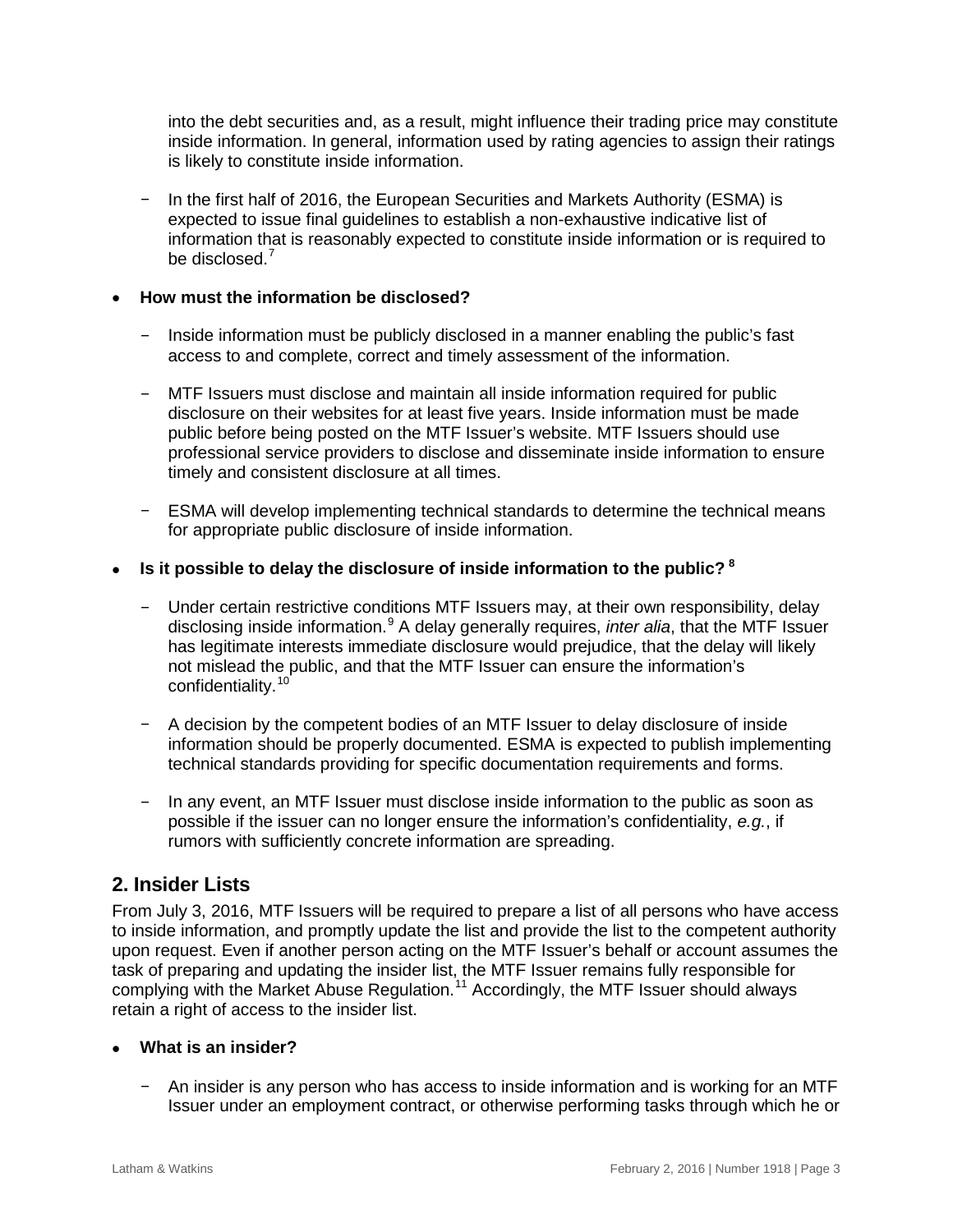into the debt securities and, as a result, might influence their trading price may constitute inside information. In general, information used by rating agencies to assign their ratings is likely to constitute inside information.

– In the first half of 2016, the European Securities and Markets Authority (ESMA) is expected to issue final guidelines to establish a non-exhaustive indicative list of information that is reasonably expected to constitute inside information or is required to be disclosed.<sup>[7](#page-6-6)</sup>

#### • **How must the information be disclosed?**

- Inside information must be publicly disclosed in a manner enabling the public's fast access to and complete, correct and timely assessment of the information.
- MTF Issuers must disclose and maintain all inside information required for public disclosure on their websites for at least five years. Inside information must be made public before being posted on the MTF Issuer's website. MTF Issuers should use professional service providers to disclose and disseminate inside information to ensure timely and consistent disclosure at all times.
- ESMA will develop implementing technical standards to determine the technical means for appropriate public disclosure of inside information.
- **Is it possible to delay the disclosure of inside information to the public? [8](#page-6-7)**
	- Under certain restrictive conditions MTF Issuers may, at their own responsibility, delay disclosing inside information.[9](#page-6-8) A delay generally requires, *inter alia*, that the MTF Issuer has legitimate interests immediate disclosure would prejudice, that the delay will likely not mislead the public, and that the MTF Issuer can ensure the information's confidentiality.<sup>[10](#page-6-9)</sup>
	- A decision by the competent bodies of an MTF Issuer to delay disclosure of inside information should be properly documented. ESMA is expected to publish implementing technical standards providing for specific documentation requirements and forms.
	- In any event, an MTF Issuer must disclose inside information to the public as soon as possible if the issuer can no longer ensure the information's confidentiality, *e.g.*, if rumors with sufficiently concrete information are spreading.

## **2. Insider Lists**

From July 3, 2016, MTF Issuers will be required to prepare a list of all persons who have access to inside information, and promptly update the list and provide the list to the competent authority upon request. Even if another person acting on the MTF Issuer's behalf or account assumes the task of preparing and updating the insider list, the MTF Issuer remains fully responsible for complying with the Market Abuse Regulation.<sup>[11](#page-6-10)</sup> Accordingly, the MTF Issuer should always retain a right of access to the insider list.

#### • **What is an insider?**

– An insider is any person who has access to inside information and is working for an MTF Issuer under an employment contract, or otherwise performing tasks through which he or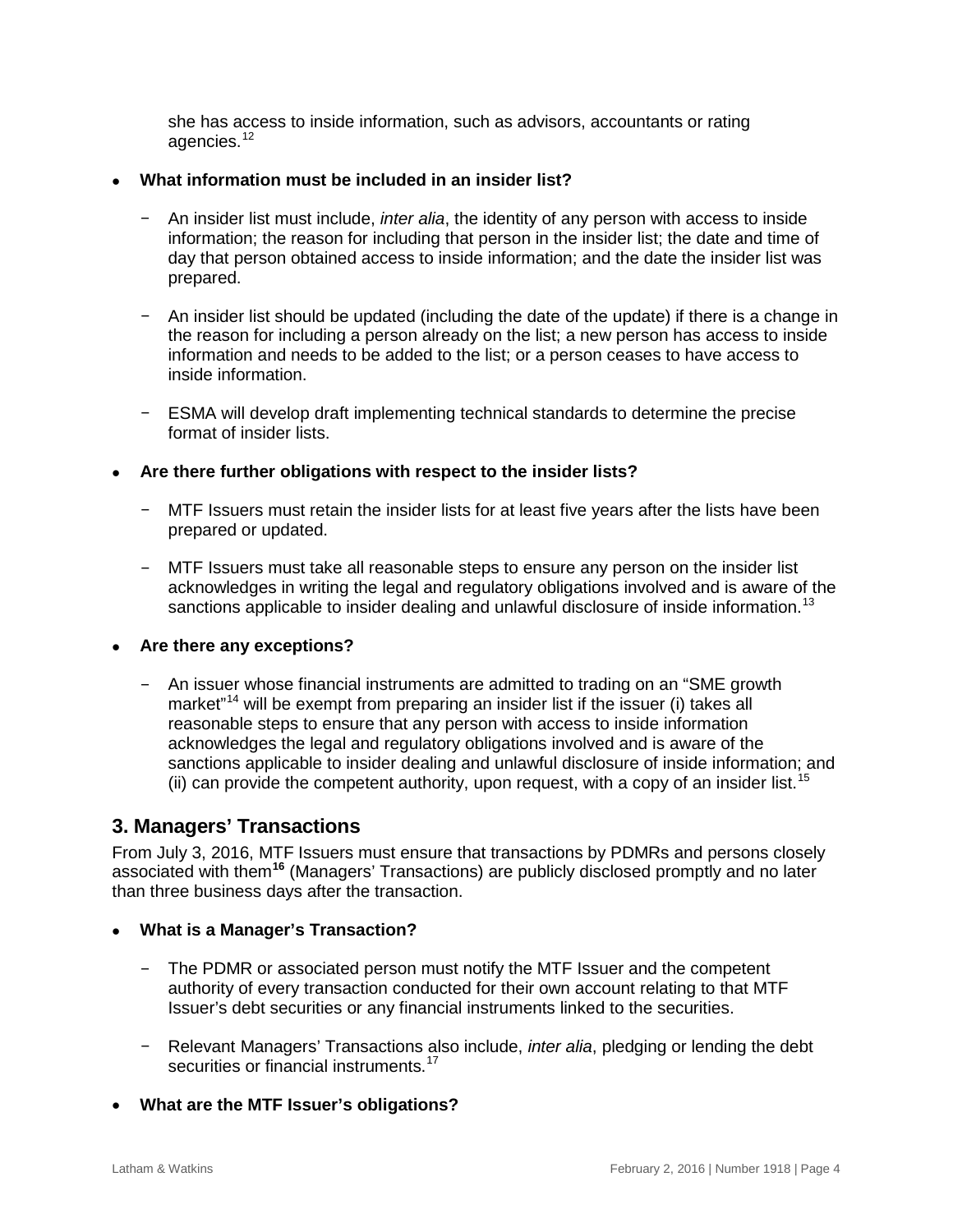she has access to inside information, such as advisors, accountants or rating agencies.<sup>[12](#page-6-11)</sup>

#### • **What information must be included in an insider list?**

- An insider list must include, *inter alia*, the identity of any person with access to inside information; the reason for including that person in the insider list; the date and time of day that person obtained access to inside information; and the date the insider list was prepared.
- An insider list should be updated (including the date of the update) if there is a change in the reason for including a person already on the list; a new person has access to inside information and needs to be added to the list; or a person ceases to have access to inside information.
- ESMA will develop draft implementing technical standards to determine the precise format of insider lists.

#### • **Are there further obligations with respect to the insider lists?**

- MTF Issuers must retain the insider lists for at least five years after the lists have been prepared or updated.
- MTF Issuers must take all reasonable steps to ensure any person on the insider list acknowledges in writing the legal and regulatory obligations involved and is aware of the sanctions applicable to insider dealing and unlawful disclosure of inside information.<sup>[13](#page-6-12)</sup>

#### • **Are there any exceptions?**

– An issuer whose financial instruments are admitted to trading on an "SME growth market"<sup>[14](#page-6-13)</sup> will be exempt from preparing an insider list if the issuer (i) takes all reasonable steps to ensure that any person with access to inside information acknowledges the legal and regulatory obligations involved and is aware of the sanctions applicable to insider dealing and unlawful disclosure of inside information; and (ii) can provide the competent authority, upon request, with a copy of an insider list.<sup>[15](#page-6-14)</sup>

## **3. Managers' Transactions**

From July 3, 2016, MTF Issuers must ensure that transactions by PDMRs and persons closely associated with them**[16](#page-6-15)** (Managers' Transactions) are publicly disclosed promptly and no later than three business days after the transaction.

#### • **What is a Manager's Transaction?**

- The PDMR or associated person must notify the MTF Issuer and the competent authority of every transaction conducted for their own account relating to that MTF Issuer's debt securities or any financial instruments linked to the securities.
- Relevant Managers' Transactions also include, *inter alia*, pledging or lending the debt securities or financial instruments.<sup>[17](#page-6-16)</sup>
- **What are the MTF Issuer's obligations?**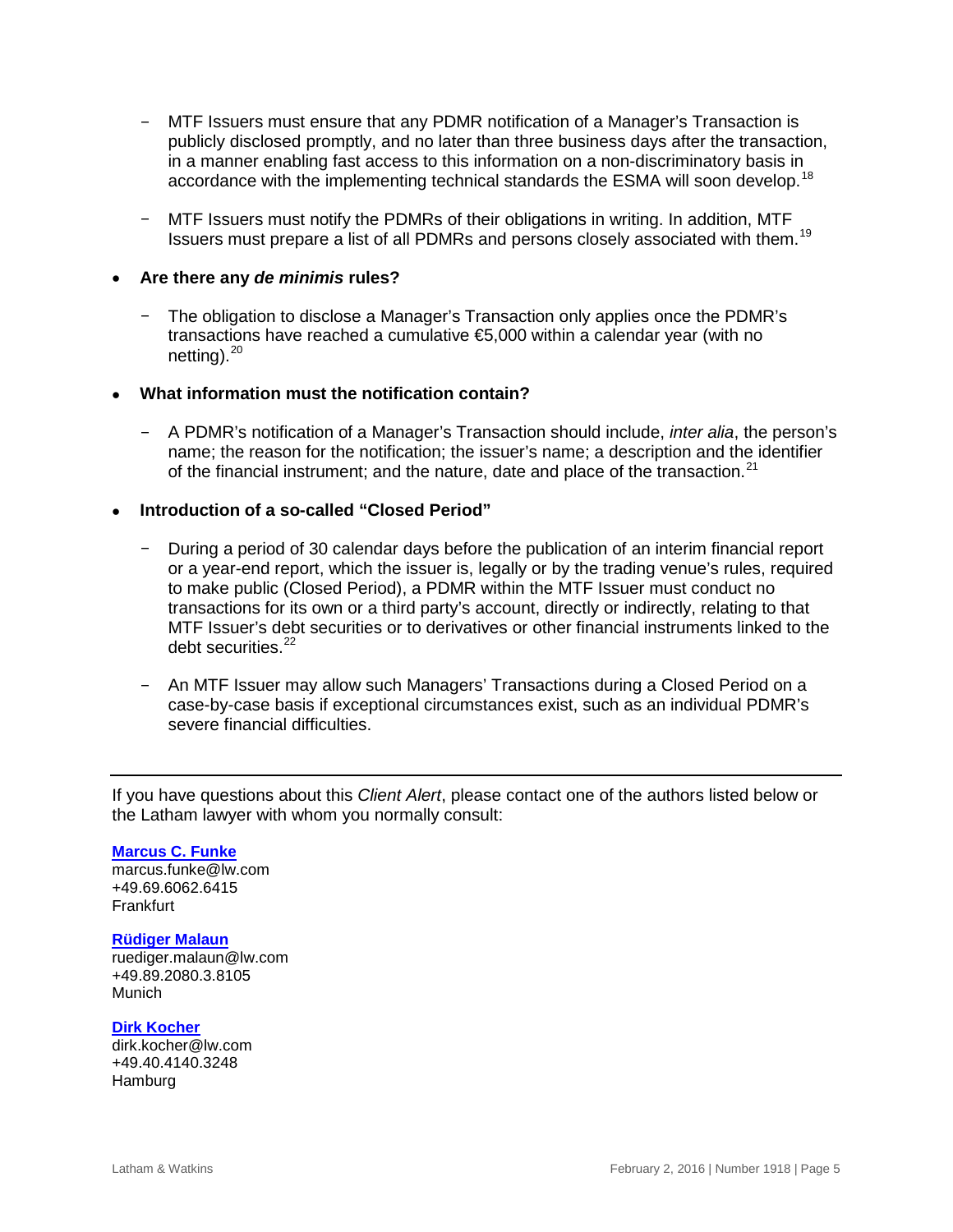- MTF Issuers must ensure that any PDMR notification of a Manager's Transaction is publicly disclosed promptly, and no later than three business days after the transaction, in a manner enabling fast access to this information on a non-discriminatory basis in accordance with the implementing technical standards the ESMA will soon develop.<sup>[18](#page-6-17)</sup>
- MTF Issuers must notify the PDMRs of their obligations in writing. In addition, MTF Issuers must prepare a list of all PDMRs and persons closely associated with them.[19](#page-6-18)

#### • **Are there any** *de minimis* **rules?**

– The obligation to disclose a Manager's Transaction only applies once the PDMR's transactions have reached a cumulative €5,000 within a calendar year (with no netting). $^{20}$  $^{20}$  $^{20}$ 

#### • **What information must the notification contain?**

– A PDMR's notification of a Manager's Transaction should include, *inter alia*, the person's name; the reason for the notification; the issuer's name; a description and the identifier of the financial instrument; and the nature, date and place of the transaction.<sup>[21](#page-6-20)</sup>

#### • **Introduction of a so-called "Closed Period"**

- During a period of 30 calendar days before the publication of an interim financial report or a year-end report, which the issuer is, legally or by the trading venue's rules, required to make public (Closed Period), a PDMR within the MTF Issuer must conduct no transactions for its own or a third party's account, directly or indirectly, relating to that MTF Issuer's debt securities or to derivatives or other financial instruments linked to the debt securities.<sup>[22](#page-6-21)</sup>
- An MTF Issuer may allow such Managers' Transactions during a Closed Period on a case-by-case basis if exceptional circumstances exist, such as an individual PDMR's severe financial difficulties.

If you have questions about this *Client Alert*, please contact one of the authors listed below or the Latham lawyer with whom you normally consult:

#### **[Marcus C. Funke](https://www.lw.com/people/marcus-funke)**

[marcus.funke@lw.com](mailto:marcus.funke@lw.com) +49.69.6062.6415 Frankfurt

#### **[Rüdiger Malaun](https://www.lw.com/people/ruediger-malaun)**

[ruediger.malaun@lw.com](mailto:ruediger.malaun@lw.com) +49.89.2080.3.8105 Munich

#### **[Dirk Kocher](https://www.lw.com/people/dirk-kocher)**

[dirk.kocher@lw.com](mailto:dirk.kocher@lw.com) +49.40.4140.3248 Hamburg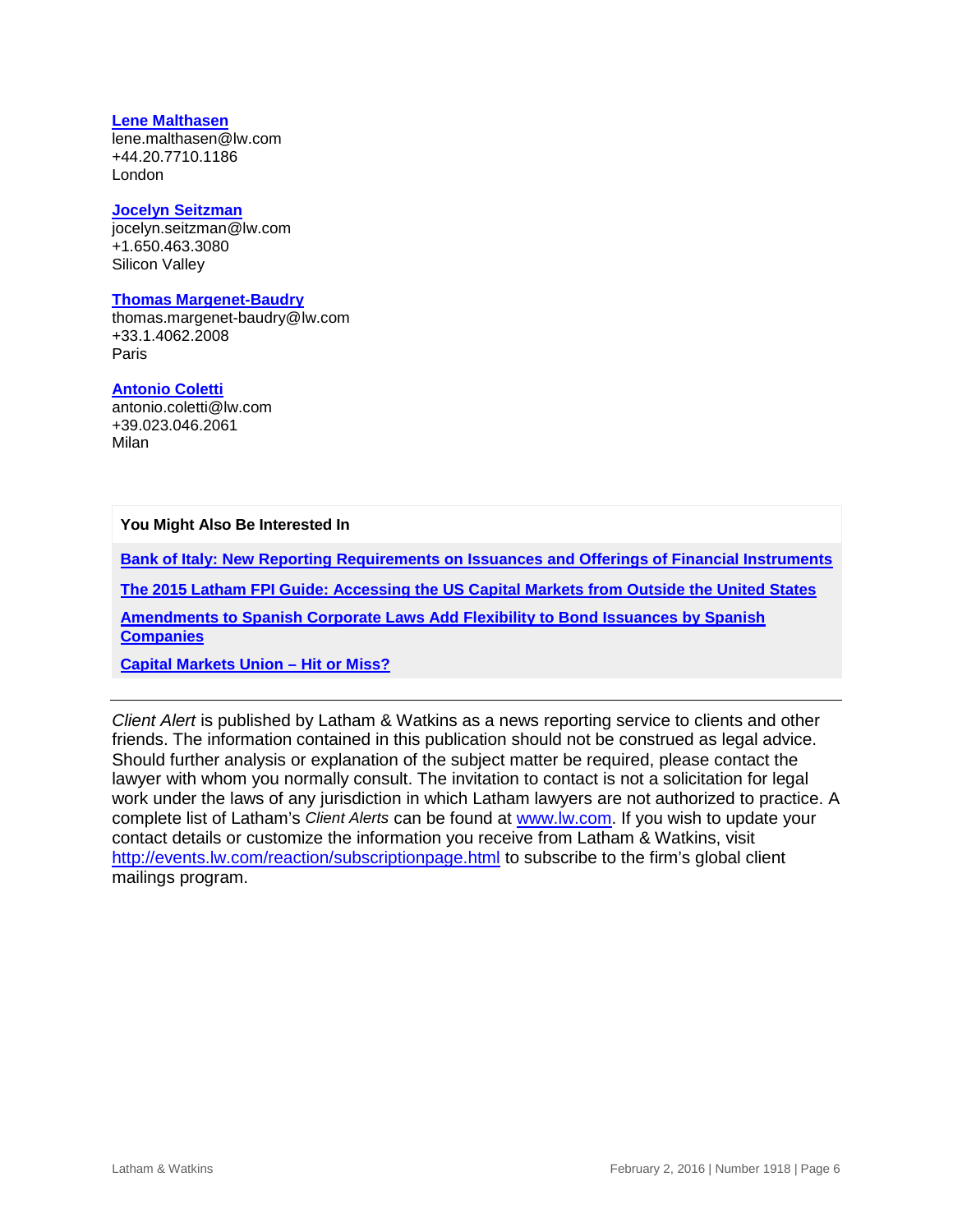#### **[Lene Malthasen](https://www.lw.com/people/lene-malthasen)**

[lene.malthasen@lw.com](mailto:lene.malthasen@lw.com) +44.20.7710.1186 London

#### **[Jocelyn Seitzman](https://www.lw.com/people/jocelyn-seitzman)**

[jocelyn.seitzman@lw.com](mailto:jocelyn.seitzman@lw.com) +1.650.463.3080 Silicon Valley

#### **[Thomas Margenet-Baudry](https://www.lw.com/people/thomas-margenet-baudry)**

[thomas.margenet-baudry@lw.com](mailto:thomas.margenet-baudry@lw.com) +33.1.4062.2008 Paris

#### **[Antonio Coletti](https://www.lw.com/people/antonio-coletti)**

[antonio.coletti@lw.com](mailto:antonio.coletti@lw.com) +39.023.046.2061 Milan

**You Might Also Be Interested In**

**[Bank of Italy: New Reporting Requirements on Issuances and Offerings of Financial Instruments](https://www.lw.com/thoughtLeadership/lw-italy-new-reporting-requirements-on-issuances)**

**[The 2015 Latham FPI Guide: Accessing the US Capital Markets from Outside the United States](https://www.lw.com/thoughtLeadership/foreign-private-issuer-guide-2015)**

**[Amendments to Spanish Corporate Laws Add Flexibility to Bond Issuances by Spanish](https://www.lw.com/thoughtLeadership/LW-amendments-to-spanish-law-add-flexibility-to-bond-issuances)  [Companies](https://www.lw.com/thoughtLeadership/LW-amendments-to-spanish-law-add-flexibility-to-bond-issuances)** 

**[Capital Markets Union –](https://www.lw.com/thoughtLeadership/LW-Capital-Markets-Union%E2%80%93Hit-or-Miss) Hit or Miss?**

*Client Alert* is published by Latham & Watkins as a news reporting service to clients and other friends. The information contained in this publication should not be construed as legal advice. Should further analysis or explanation of the subject matter be required, please contact the lawyer with whom you normally consult. The invitation to contact is not a solicitation for legal work under the laws of any jurisdiction in which Latham lawyers are not authorized to practice. A complete list of Latham's *Client Alerts* can be found at [www.lw.com.](http://www.lw.com/) If you wish to update your contact details or customize the information you receive from Latham & Watkins, visit <http://events.lw.com/reaction/subscriptionpage.html> to subscribe to the firm's global client mailings program.